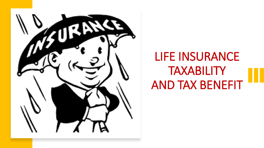

# LIFE INSURANCE TAXABILITY AND TAX BENEFIT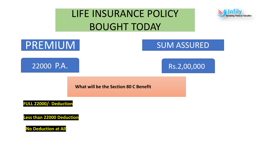# LIFE INSURANCE POLICY BOUGHT TODAY





**Less than 22000 Deduction**

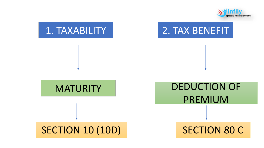

# 1. TAXABILITY | 2. TAX BENEFIT

## **MATURITY**

#### SECTION 10 (10D) SECTION 80 C

DEDUCTION OF PREMIUM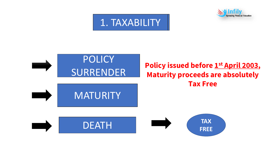



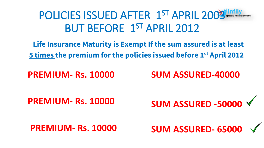# POLICIES ISSUED AFTER 1ST APRIL 2009 BUT BEFORE 1ST APRIL 2012

**Life Insurance Maturity is Exempt If the sum assured is at least 5 times the premium for the policies issued before 1st April 2012**

**PREMIUM- Rs. 10000**

**SUM ASSURED-40000**

**PREMIUM- Rs. 10000**

**SUM ASSURED -50000**

**PREMIUM- Rs. 10000**

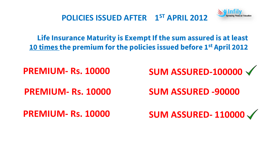

**POLICIES ISSUED AFTER 1ST APRIL 2012**

**Life Insurance Maturity is Exempt If the sum assured is at least 10 times the premium for the policies issued before 1st April 2012**

**PREMIUM- Rs. 10000**

**PREMIUM- Rs. 10000**

**PREMIUM- Rs. 10000**

**SUM ASSURED-100000**

**SUM ASSURED -90000**

**SUM ASSURED- 110000**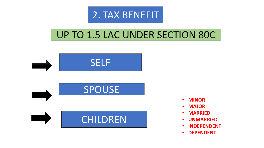

## UP TO 1.5 LAC UNDER SECTION 80C



- **MINOR**
- **MAJOR**
- **MARRIED**
- **UNMARRIED**
- **INDEPENDENT**
- **DEPENDENT**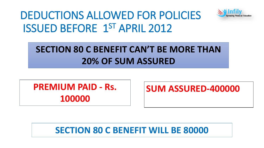# DEDUCTIONS ALLOWED FOR POLICIES ISSUED BEFORE 1ST APRIL 2012



#### **SECTION 80 C BENEFIT CAN'T BE MORE THAN 20% OF SUM ASSURED**

**PREMIUM PAID - Rs. 100000**

**SUM ASSURED-400000**

**SECTION 80 C BENEFIT WILL BE 80000**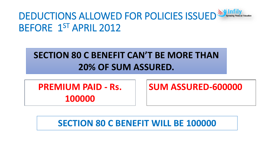

#### **SECTION 80 C BENEFIT CAN'T BE MORE THAN 20% OF SUM ASSURED.**

**PREMIUM PAID - Rs. 100000**

**SUM ASSURED-600000**

**SECTION 80 C BENEFIT WILL BE 100000**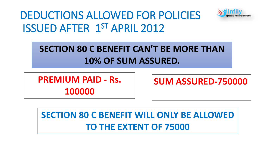

# DEDUCTIONS ALLOWED FOR POLICIES ISSUED AFTER 1ST APRIL 2012

#### **SECTION 80 C BENEFIT CAN'T BE MORE THAN 10% OF SUM ASSURED.**

**PREMIUM PAID - Rs. 100000**

**SUM ASSURED-750000**

## **SECTION 80 C BENEFIT WILL ONLY BE ALLOWED TO THE EXTENT OF 75000**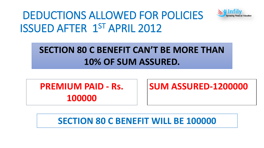

# DEDUCTIONS ALLOWED FOR POLICIES ISSUED AFTER 1ST APRIL 2012

### **SECTION 80 C BENEFIT CAN'T BE MORE THAN 10% OF SUM ASSURED.**

**PREMIUM PAID - Rs. 100000**

**SUM ASSURED-1200000**

#### **SECTION 80 C BENEFIT WILL BE 100000**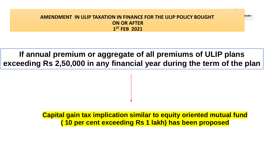#### **AMENDMENT IN ULIP TAXATION IN FINANCE FOR THE ULIP POLICY BOUGHT ON OR AFTER 1 ST FEB 2021**

#### **If annual premium or aggregate of all premiums of ULIP plans exceeding Rs 2,50,000 in any financial year during the term of the plan**

#### **Capital gain tax implication similar to equity oriented mutual fund ( 10 per cent exceeding Rs 1 lakh) has been proposed**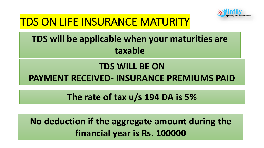

# TDS ON LIFE INSURANCE MATURITY

## **TDS will be applicable when your maturities are taxable**

#### **TDS WILL BE ON**

#### **PAYMENT RECEIVED- INSURANCE PREMIUMS PAID**

#### **The rate of tax u/s 194 DA is 5%**

**No deduction if the aggregate amount during the financial year is Rs. 100000**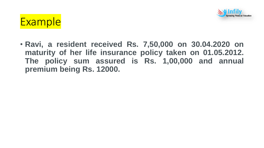



• **Ravi, a resident received Rs. 7,50,000 on 30.04.2020 on maturity of her life insurance policy taken on 01.05.2012. The policy sum assured is Rs. 1,00,000 and annual premium being Rs. 12000.**